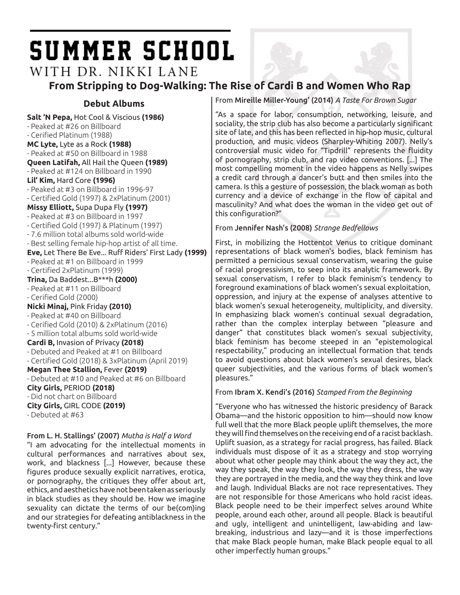# **SUMMER SCHOOL**

WITH DR. NIKKI LANE **From Stripping to Dog-Walking: The Rise of Cardi B and Women Who Rap**

**Salt 'N Pepa,** Hot Cool & Viscious **(1986)** - Peaked at #26 on Billboard - Cerified Platinum (1988) **MC Lyte,** Lyte as a Rock **(1988)** - Peaked at #50 on Billboard in 1988 **Queen Latifah,** All Hail the Queen **(1989)** - Peaked at #124 on Billboard in 1990 **Lil' Kim,** Hard Core **(1996)** - Peaked at #3 on Billboard in 1996-97 - Certified Gold (1997) & 2xPlatinum (2001) **Missy Elliott,** Supa Dupa Fly **(1997)** - Peaked at #3 on Billboard in 1997 - Certified Gold (1997) & Platinum (1997) - 7.6 million total albums sold world-wide - Best selling female hip-hop artist of all time. **Eve,** Let There Be Eve... Ruff Riders' First Lady **(1999)** - Peaked at #1 on Billboard in 1999 - Certified 2xPlatinum (1999) **Trina,** Da Baddest...B\*\*\*h **(2000)** - Peaked at #11 on Billboard - Cerified Gold (2000) **Nicki Minaj,** Pink Friday **(2010)** - Peaked at #40 on Billboard - Cerified Gold (2010) & 2xPlatinum (2016) - 5 million total albums sold world-wide **Cardi B,** Invasion of Privacy **(2018)** - Debuted and Peaked at #1 on Billboard - Certified Gold (2018) & 3xPlatinum (April 2019) **Megan Thee Stallion,** Fever **(2019)** - Debuted at #10 and Peaked at #6 on Billboard **City Girls,** PERIOD **(2018)** - Did not chart on Billboard **City Girls,** GIRL CODE **(2019)** - Debuted at #63

From L. H. Stallings' (2007) *Mutha is Half a Word*

"I am advocating for the intellectual moments in cultural performances and narratives about sex, work, and blackness [...] However, because these figures produce sexually explicit narratives, erotica, or pornography, the critiques they offer about art, ethics, and aesthetics have not been taken as seriously in black studies as they should be. How we imagine sexuality can dictate the terms of our be(com)ing and our strategies for defeating antiblackness in the twenty-first century."

**Debut Albums** From Mireille Miller-Young' (2014) *A Taste For Brown Sugar*

"As a space for labor, consumption, networking, leisure, and sociality, the strip club has also become a particularly significant site of late, and this has been reflected in hip-hop music, cultural production, and music videos (Sharpley-Whiting 2007). Nelly's controversial music video for "Tipdrill" represents the fluidity of pornography, strip club, and rap video conventions. [...] The most compelling moment in the video happens as Nelly swipes a credit card through a dancer's butt and then smiles into the camera. Is this a gesture of possession, the black woman as both currency and a device of exchange in the flow of capital and masculinity? And what does the woman in the video get out of this configuration?"

### From Jennifer Nash's (2008) *Strange Bedfellows*

First, in mobilizing the Hottentot Venus to critique dominant representations of black women's bodies, black feminism has permitted a pernicious sexual conservatism, wearing the guise of racial progressivism, to seep into its analytic framework. By sexual conservatism, I refer to black feminism's tendency to foreground examinations of black women's sexual exploitation, oppression, and injury at the expense of analyses attentive to black women's sexual heterogeneity, multiplicity, and diversity. In emphasizing black women's continual sexual degradation, rather than the complex interplay between "pleasure and danger" that constitutes black women's sexual subjectivity, black feminism has become steeped in an "epistemological respectability," producing an intellectual formation that tends to avoid questions about black women's sexual desires, black queer subjectivities, and the various forms of black women's pleasures."

### From Ibram X. Kendi's (2016) *Stamped From the Beginning*

"Everyone who has witnessed the historic presidency of Barack Obama—and the historic opposition to him—should now know full well that the more Black people uplift themselves, the more they will find themselves on the receiving end of a racist backlash. Uplift suasion, as a strategy for racial progress, has failed. Black individuals must dispose of it as a strategy and stop worrying about what other people may think about the way they act, the way they speak, the way they look, the way they dress, the way they are portrayed in the media, and the way they think and love and laugh. Individual Blacks are not race representatives. They are not responsible for those Americans who hold racist ideas. Black people need to be their imperfect selves around White people, around each other, around all people. Black is beautiful and ugly, intelligent and unintelligent, law-abiding and lawbreaking, industrious and lazy—and it is those imperfections that make Black people human, make Black people equal to all other imperfectly human groups."